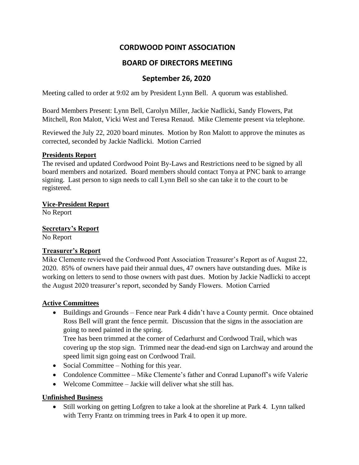# **CORDWOOD POINT ASSOCIATION**

## **BOARD OF DIRECTORS MEETING**

## **September 26, 2020**

Meeting called to order at 9:02 am by President Lynn Bell. A quorum was established.

Board Members Present: Lynn Bell, Carolyn Miller, Jackie Nadlicki, Sandy Flowers, Pat Mitchell, Ron Malott, Vicki West and Teresa Renaud. Mike Clemente present via telephone.

Reviewed the July 22, 2020 board minutes. Motion by Ron Malott to approve the minutes as corrected, seconded by Jackie Nadlicki. Motion Carried

#### **Presidents Report**

The revised and updated Cordwood Point By-Laws and Restrictions need to be signed by all board members and notarized. Board members should contact Tonya at PNC bank to arrange signing. Last person to sign needs to call Lynn Bell so she can take it to the court to be registered.

**Vice-President Report**

No Report

**Secretary's Report** No Report

## **Treasurer's Report**

Mike Clemente reviewed the Cordwood Pont Association Treasurer's Report as of August 22, 2020. 85% of owners have paid their annual dues, 47 owners have outstanding dues. Mike is working on letters to send to those owners with past dues. Motion by Jackie Nadlicki to accept the August 2020 treasurer's report, seconded by Sandy Flowers. Motion Carried

### **Active Committees**

• Buildings and Grounds – Fence near Park 4 didn't have a County permit. Once obtained Ross Bell will grant the fence permit. Discussion that the signs in the association are going to need painted in the spring.

Tree has been trimmed at the corner of Cedarhurst and Cordwood Trail, which was covering up the stop sign. Trimmed near the dead-end sign on Larchway and around the speed limit sign going east on Cordwood Trail.

- Social Committee Nothing for this year.
- Condolence Committee Mike Clemente's father and Conrad Lupanoff's wife Valerie
- Welcome Committee Jackie will deliver what she still has.

### **Unfinished Business**

• Still working on getting Lofgren to take a look at the shoreline at Park 4. Lynn talked with Terry Frantz on trimming trees in Park 4 to open it up more.